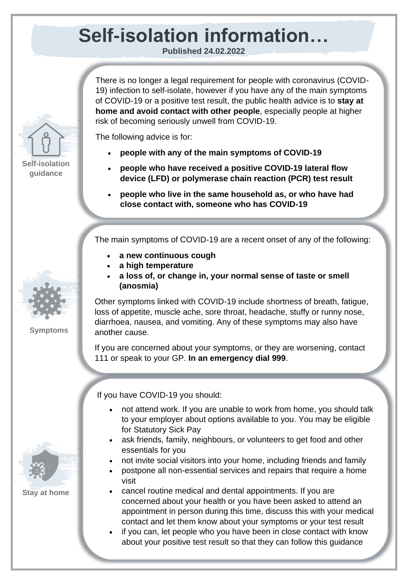## **Self-isolation information…**

**Published 24.02.2022**

There is no longer a legal requirement for people with coronavirus (COVID-19) infection to self-isolate, however if you have any of the main symptoms of COVID-19 or a positive test result, the public health advice is to **stay at home and avoid contact with other people**, especially people at higher risk of becoming seriously unwell from COVID-19.

The following advice is for:

- **people with any of the main symptoms of COVID-19**
- **people who have received a positive COVID-19 lateral flow device (LFD) or polymerase chain reaction (PCR) test result**
- **people who live in the same household as, or who have had close contact with, someone who has COVID-19**

The main symptoms of COVID-19 are a recent onset of any of the following:

- **a new continuous cough**
- **a high temperature**
- **a loss of, or change in, your normal sense of taste or smell (anosmia)**

Other symptoms linked with COVID-19 include shortness of breath, fatigue, loss of appetite, muscle ache, sore throat, headache, stuffy or runny nose, diarrhoea, nausea, and vomiting. Any of these symptoms may also have another cause.

If you are concerned about your symptoms, or they are worsening, contact 111 or speak to your GP. **In an emergency dial 999**.

If you have COVID-19 you should:

- not attend work. If you are unable to work from home, you should talk to your employer about options available to you. You may be eligible for Statutory Sick Pay
- ask friends, family, neighbours, or volunteers to get food and other essentials for you
- not invite social visitors into your home, including friends and family
- postpone all non-essential services and repairs that require a home visit
- cancel routine medical and dental appointments. If you are concerned about your health or you have been asked to attend an appointment in person during this time, discuss this with your medical contact and let them know about your symptoms or your test result
- if you can, let people who you have been in close contact with know about your positive test result so that they can follow this guidance



**Self-isolation guidance**



**Symptoms**



**Stay at home**